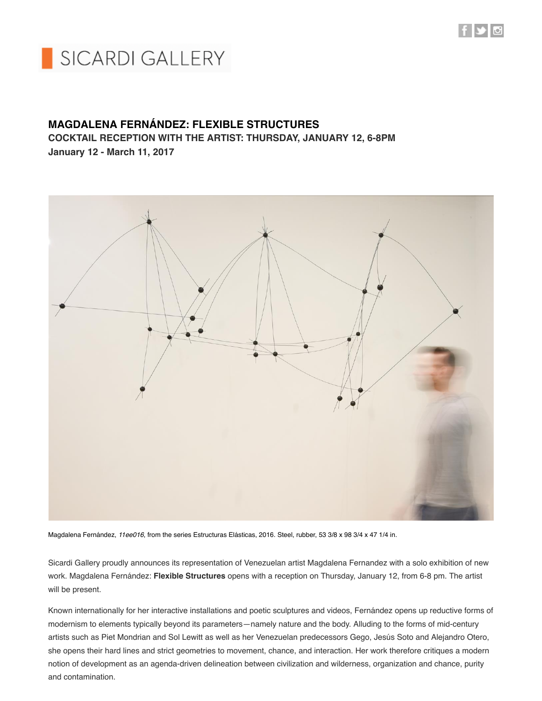



## **MAGDALENA FERNÁNDEZ: FLEXIBLE STRUCTURES**

**COCKTAIL RECEPTION WITH THE ARTIST: THURSDAY, JANUARY 12, 6-8PM January 12 - March 11, 2017**



Magdalena Fernández, 11ee016, from the series Estructuras Elásticas, 2016. Steel, rubber, 53 3/8 x 98 3/4 x 47 1/4 in.

Sicardi Gallery proudly announces its representation of Venezuelan artist Magdalena Fernandez with a solo exhibition of new work. Magdalena Fernández: **Flexible Structures** opens with a reception on Thursday, January 12, from 6-8 pm. The artist will be present.

Known internationally for her interactive installations and poetic sculptures and videos, Fernández opens up reductive forms of modernism to elements typically beyond its parameters—namely nature and the body. Alluding to the forms of mid-century artists such as Piet Mondrian and Sol Lewitt as well as her Venezuelan predecessors Gego, Jesús Soto and Alejandro Otero, she opens their hard lines and strict geometries to movement, chance, and interaction. Her work therefore critiques a modern notion of development as an agenda-driven delineation between civilization and wilderness, organization and chance, purity and contamination.